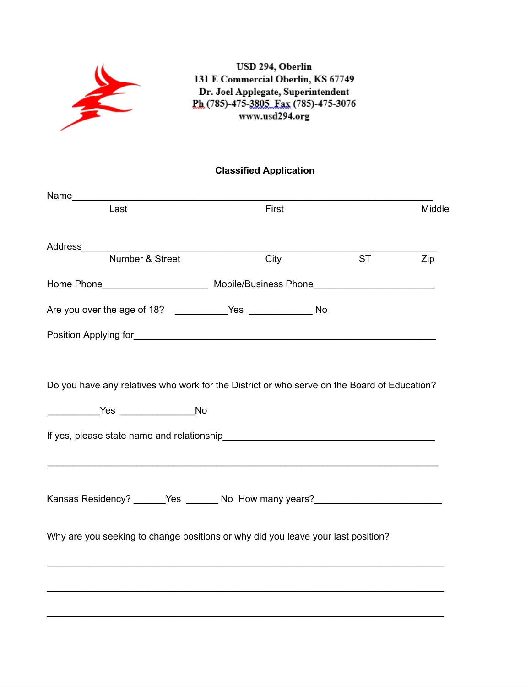

USD 294, Oberlin 131 E Commercial Oberlin, KS 67749 Dr. Joel Applegate, Superintendent Ph (785)-475-3805 Fax (785)-475-3076 www.usd294.org

## **Classified Application**

|  |               | Middle                                                                                                                                                                                                                                                              |
|--|---------------|---------------------------------------------------------------------------------------------------------------------------------------------------------------------------------------------------------------------------------------------------------------------|
|  |               |                                                                                                                                                                                                                                                                     |
|  | <b>ST</b>     | Zip                                                                                                                                                                                                                                                                 |
|  |               |                                                                                                                                                                                                                                                                     |
|  |               |                                                                                                                                                                                                                                                                     |
|  |               |                                                                                                                                                                                                                                                                     |
|  |               |                                                                                                                                                                                                                                                                     |
|  |               |                                                                                                                                                                                                                                                                     |
|  |               |                                                                                                                                                                                                                                                                     |
|  |               |                                                                                                                                                                                                                                                                     |
|  |               |                                                                                                                                                                                                                                                                     |
|  |               |                                                                                                                                                                                                                                                                     |
|  |               |                                                                                                                                                                                                                                                                     |
|  |               |                                                                                                                                                                                                                                                                     |
|  |               |                                                                                                                                                                                                                                                                     |
|  |               |                                                                                                                                                                                                                                                                     |
|  |               |                                                                                                                                                                                                                                                                     |
|  | First<br>City | Do you have any relatives who work for the District or who serve on the Board of Education?<br>Kansas Residency? ______Yes _______No How many years? __________________________<br>Why are you seeking to change positions or why did you leave your last position? |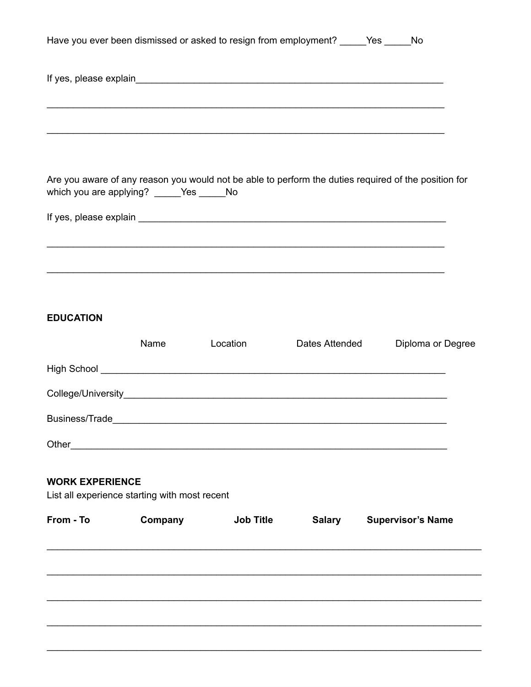|                        |                                                            | Have you ever been dismissed or asked to resign from employment? _____Yes _____No                                     |                |                          |
|------------------------|------------------------------------------------------------|-----------------------------------------------------------------------------------------------------------------------|----------------|--------------------------|
|                        |                                                            |                                                                                                                       |                |                          |
|                        |                                                            |                                                                                                                       |                |                          |
|                        |                                                            |                                                                                                                       |                |                          |
|                        |                                                            | ,我们也不能在这里的时候,我们也不能在这里的时候,我们也不能不能不能不能不能不能不能不能不能不能不能不能。""我们的人们也不能不能不能不能不能不能不能不能不能不                                      |                |                          |
|                        |                                                            |                                                                                                                       |                |                          |
|                        | which you are applying? _____Yes _____No                   | Are you aware of any reason you would not be able to perform the duties required of the position for                  |                |                          |
|                        |                                                            |                                                                                                                       |                |                          |
|                        |                                                            |                                                                                                                       |                |                          |
|                        |                                                            | <u> 1999 - Johann Harry Harry Harry Harry Harry Harry Harry Harry Harry Harry Harry Harry Harry Harry Harry Harry</u> |                |                          |
|                        |                                                            |                                                                                                                       |                |                          |
| <b>EDUCATION</b>       |                                                            |                                                                                                                       |                |                          |
|                        | Name                                                       | Location                                                                                                              |                |                          |
|                        |                                                            |                                                                                                                       | Dates Attended | Diploma or Degree        |
|                        |                                                            |                                                                                                                       |                |                          |
|                        |                                                            |                                                                                                                       |                |                          |
| <b>Business/Trade</b>  |                                                            |                                                                                                                       |                |                          |
| Other_                 | <u> 1989 - Johann Stein, mars and de Britain (b. 1989)</u> |                                                                                                                       |                |                          |
| <b>WORK EXPERIENCE</b> |                                                            |                                                                                                                       |                |                          |
|                        | List all experience starting with most recent              |                                                                                                                       |                |                          |
| From - To              | Company                                                    | <b>Job Title</b>                                                                                                      | <b>Salary</b>  | <b>Supervisor's Name</b> |
|                        |                                                            |                                                                                                                       |                |                          |
|                        |                                                            |                                                                                                                       |                |                          |
|                        |                                                            |                                                                                                                       |                |                          |
|                        |                                                            |                                                                                                                       |                |                          |
|                        |                                                            |                                                                                                                       |                |                          |
|                        |                                                            |                                                                                                                       |                |                          |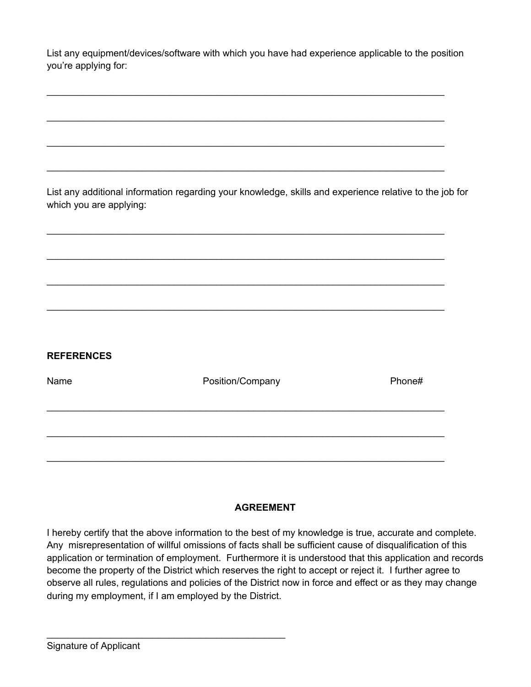List any equipment/devices/software with which you have had experience applicable to the position you're applying for:

 $\mathcal{L}_\text{max}$  and  $\mathcal{L}_\text{max}$  and  $\mathcal{L}_\text{max}$  and  $\mathcal{L}_\text{max}$  and  $\mathcal{L}_\text{max}$  and  $\mathcal{L}_\text{max}$ 

 $\mathcal{L}_\text{max}$  and  $\mathcal{L}_\text{max}$  and  $\mathcal{L}_\text{max}$  and  $\mathcal{L}_\text{max}$  and  $\mathcal{L}_\text{max}$  and  $\mathcal{L}_\text{max}$ 

 $\mathcal{L}_\text{max}$  and  $\mathcal{L}_\text{max}$  and  $\mathcal{L}_\text{max}$  and  $\mathcal{L}_\text{max}$  and  $\mathcal{L}_\text{max}$  and  $\mathcal{L}_\text{max}$ 

 $\mathcal{L}_\text{max}$  and  $\mathcal{L}_\text{max}$  and  $\mathcal{L}_\text{max}$  and  $\mathcal{L}_\text{max}$  and  $\mathcal{L}_\text{max}$  and  $\mathcal{L}_\text{max}$ 

 $\mathcal{L}_\text{max}$  and  $\mathcal{L}_\text{max}$  and  $\mathcal{L}_\text{max}$  and  $\mathcal{L}_\text{max}$  and  $\mathcal{L}_\text{max}$  and  $\mathcal{L}_\text{max}$ 

 $\mathcal{L}_\text{max}$  and  $\mathcal{L}_\text{max}$  and  $\mathcal{L}_\text{max}$  and  $\mathcal{L}_\text{max}$  and  $\mathcal{L}_\text{max}$  and  $\mathcal{L}_\text{max}$ 

 $\mathcal{L}_\text{max}$  and  $\mathcal{L}_\text{max}$  and  $\mathcal{L}_\text{max}$  and  $\mathcal{L}_\text{max}$  and  $\mathcal{L}_\text{max}$  and  $\mathcal{L}_\text{max}$ 

 $\mathcal{L}_\text{max}$  and  $\mathcal{L}_\text{max}$  and  $\mathcal{L}_\text{max}$  and  $\mathcal{L}_\text{max}$  and  $\mathcal{L}_\text{max}$  and  $\mathcal{L}_\text{max}$ 

List any additional information regarding your knowledge, skills and experience relative to the job for which you are applying:

| <b>REFERENCES</b> |                  |        |
|-------------------|------------------|--------|
| Name              | Position/Company | Phone# |
|                   |                  |        |
|                   |                  |        |

## **AGREEMENT**

I hereby certify that the above information to the best of my knowledge is true, accurate and complete. Any misrepresentation of willful omissions of facts shall be sufficient cause of disqualification of this application or termination of employment. Furthermore it is understood that this application and records become the property of the District which reserves the right to accept or reject it. I further agree to observe all rules, regulations and policies of the District now in force and effect or as they may change during my employment, if I am employed by the District.

 $\mathcal{L}_\text{max}$  , which is a set of the set of the set of the set of the set of the set of the set of the set of the set of the set of the set of the set of the set of the set of the set of the set of the set of the set of